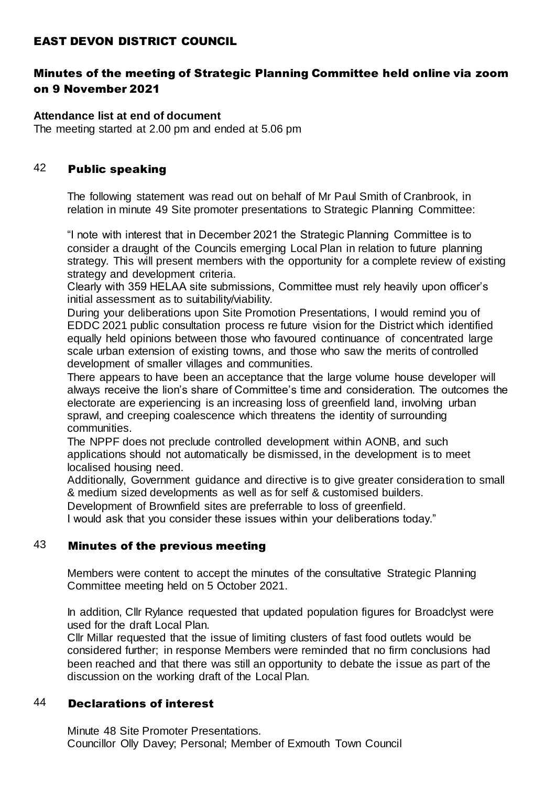## EAST DEVON DISTRICT COUNCIL

# Minutes of the meeting of Strategic Planning Committee held online via zoom on 9 November 2021

**Attendance list at end of document** The meeting started at 2.00 pm and ended at 5.06 pm

### 42 Public speaking

The following statement was read out on behalf of Mr Paul Smith of Cranbrook, in relation in minute 49 Site promoter presentations to Strategic Planning Committee:

"I note with interest that in December 2021 the Strategic Planning Committee is to consider a draught of the Councils emerging Local Plan in relation to future planning strategy. This will present members with the opportunity for a complete review of existing strategy and development criteria.

Clearly with 359 HELAA site submissions, Committee must rely heavily upon officer's initial assessment as to suitability/viability.

During your deliberations upon Site Promotion Presentations, I would remind you of EDDC 2021 public consultation process re future vision for the District which identified equally held opinions between those who favoured continuance of concentrated large scale urban extension of existing towns, and those who saw the merits of controlled development of smaller villages and communities.

There appears to have been an acceptance that the large volume house developer will always receive the lion's share of Committee's time and consideration. The outcomes the electorate are experiencing is an increasing loss of greenfield land, involving urban sprawl, and creeping coalescence which threatens the identity of surrounding communities.

The NPPF does not preclude controlled development within AONB, and such applications should not automatically be dismissed, in the development is to meet localised housing need.

Additionally, Government guidance and directive is to give greater consideration to small & medium sized developments as well as for self & customised builders.

Development of Brownfield sites are preferrable to loss of greenfield.

I would ask that you consider these issues within your deliberations today."

#### 43 Minutes of the previous meeting

Members were content to accept the minutes of the consultative Strategic Planning Committee meeting held on 5 October 2021.

In addition, Cllr Rylance requested that updated population figures for Broadclyst were used for the draft Local Plan.

Cllr Millar requested that the issue of limiting clusters of fast food outlets would be considered further; in response Members were reminded that no firm conclusions had been reached and that there was still an opportunity to debate the issue as part of the discussion on the working draft of the Local Plan.

#### 44 Declarations of interest

Minute 48 Site Promoter Presentations. Councillor Olly Davey; Personal; Member of Exmouth Town Council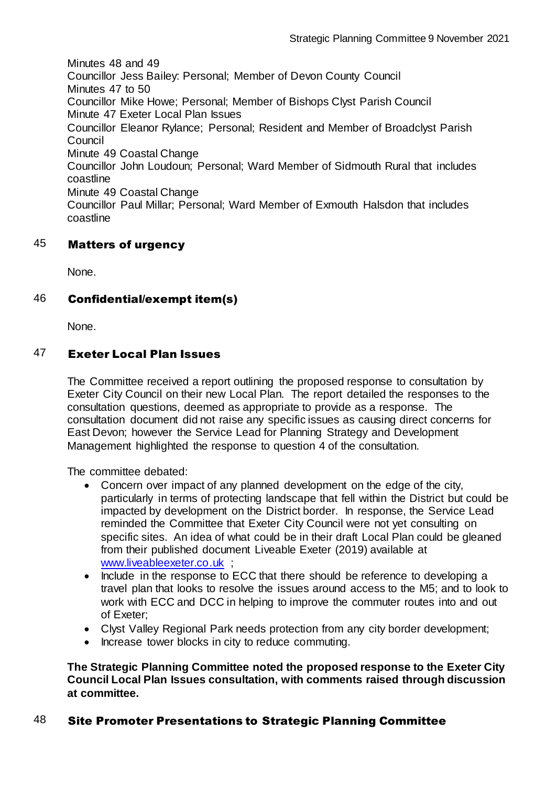Minutes 48 and 49 Councillor Jess Bailey: Personal; Member of Devon County Council Minutes 47 to 50 Councillor Mike Howe; Personal; Member of Bishops Clyst Parish Council Minute 47 Exeter Local Plan Issues Councillor Eleanor Rylance; Personal; Resident and Member of Broadclyst Parish **Council** Minute 49 Coastal Change Councillor John Loudoun; Personal; Ward Member of Sidmouth Rural that includes coastline Minute 49 Coastal Change Councillor Paul Millar; Personal; Ward Member of Exmouth Halsdon that includes coastline

## 45 Matters of urgency

None.

## 46 Confidential/exempt item(s)

None.

## 47 Exeter Local Plan Issues

The Committee received a report outlining the proposed response to consultation by Exeter City Council on their new Local Plan. The report detailed the responses to the consultation questions, deemed as appropriate to provide as a response. The consultation document did not raise any specific issues as causing direct concerns for East Devon; however the Service Lead for Planning Strategy and Development Management highlighted the response to question 4 of the consultation.

The committee debated:

- Concern over impact of any planned development on the edge of the city, particularly in terms of protecting landscape that fell within the District but could be impacted by development on the District border. In response, the Service Lead reminded the Committee that Exeter City Council were not yet consulting on specific sites. An idea of what could be in their draft Local Plan could be gleaned from their published document Liveable Exeter (2019) available at [www.liveableexeter.co.uk](http://www.liveableexeter.co.uk/) ;
- Include in the response to ECC that there should be reference to developing a travel plan that looks to resolve the issues around access to the M5; and to look to work with ECC and DCC in helping to improve the commuter routes into and out of Exeter;
- Clyst Valley Regional Park needs protection from any city border development;
- Increase tower blocks in city to reduce commuting.

**The Strategic Planning Committee noted the proposed response to the Exeter City Council Local Plan Issues consultation, with comments raised through discussion at committee.**

## 48 Site Promoter Presentations to Strategic Planning Committee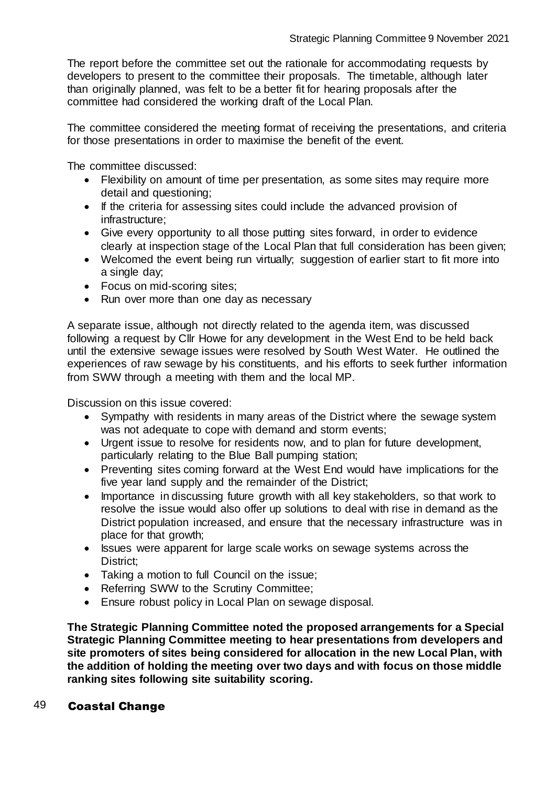The report before the committee set out the rationale for accommodating requests by developers to present to the committee their proposals. The timetable, although later than originally planned, was felt to be a better fit for hearing proposals after the committee had considered the working draft of the Local Plan.

The committee considered the meeting format of receiving the presentations, and criteria for those presentations in order to maximise the benefit of the event.

The committee discussed:

- Flexibility on amount of time per presentation, as some sites may require more detail and questioning;
- If the criteria for assessing sites could include the advanced provision of infrastructure;
- Give every opportunity to all those putting sites forward, in order to evidence clearly at inspection stage of the Local Plan that full consideration has been given;
- Welcomed the event being run virtually; suggestion of earlier start to fit more into a single day;
- Focus on mid-scoring sites:
- Run over more than one day as necessary

A separate issue, although not directly related to the agenda item, was discussed following a request by Cllr Howe for any development in the West End to be held back until the extensive sewage issues were resolved by South West Water. He outlined the experiences of raw sewage by his constituents, and his efforts to seek further information from SWW through a meeting with them and the local MP.

Discussion on this issue covered:

- Sympathy with residents in many areas of the District where the sewage system was not adequate to cope with demand and storm events;
- Urgent issue to resolve for residents now, and to plan for future development, particularly relating to the Blue Ball pumping station;
- Preventing sites coming forward at the West End would have implications for the five year land supply and the remainder of the District;
- Importance in discussing future growth with all key stakeholders, so that work to resolve the issue would also offer up solutions to deal with rise in demand as the District population increased, and ensure that the necessary infrastructure was in place for that growth;
- Issues were apparent for large scale works on sewage systems across the District;
- Taking a motion to full Council on the issue;
- Referring SWW to the Scrutiny Committee;
- Ensure robust policy in Local Plan on sewage disposal.

**The Strategic Planning Committee noted the proposed arrangements for a Special Strategic Planning Committee meeting to hear presentations from developers and site promoters of sites being considered for allocation in the new Local Plan, with the addition of holding the meeting over two days and with focus on those middle ranking sites following site suitability scoring.**

#### 49 Coastal Change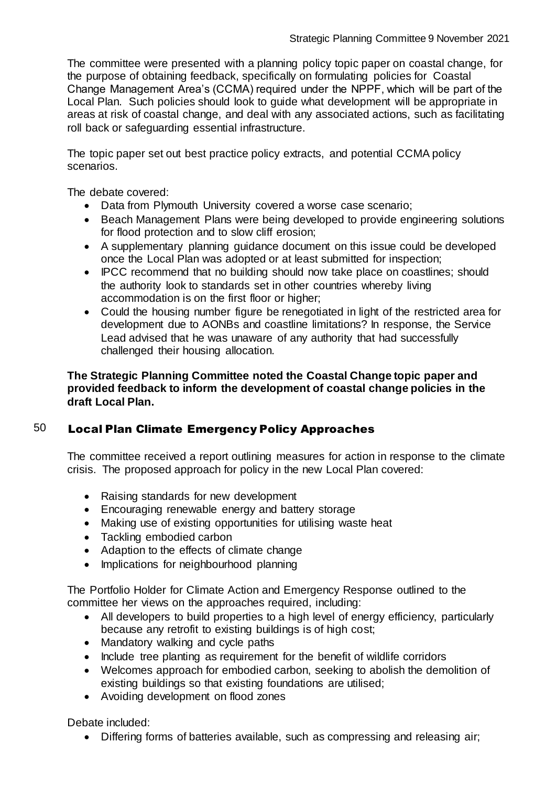The committee were presented with a planning policy topic paper on coastal change, for the purpose of obtaining feedback, specifically on formulating policies for Coastal Change Management Area's (CCMA) required under the NPPF, which will be part of the Local Plan. Such policies should look to guide what development will be appropriate in areas at risk of coastal change, and deal with any associated actions, such as facilitating roll back or safeguarding essential infrastructure.

The topic paper set out best practice policy extracts, and potential CCMA policy scenarios.

The debate covered:

- Data from Plymouth University covered a worse case scenario;
- Beach Management Plans were being developed to provide engineering solutions for flood protection and to slow cliff erosion;
- A supplementary planning guidance document on this issue could be developed once the Local Plan was adopted or at least submitted for inspection;
- IPCC recommend that no building should now take place on coastlines; should the authority look to standards set in other countries whereby living accommodation is on the first floor or higher;
- Could the housing number figure be renegotiated in light of the restricted area for development due to AONBs and coastline limitations? In response, the Service Lead advised that he was unaware of any authority that had successfully challenged their housing allocation.

**The Strategic Planning Committee noted the Coastal Change topic paper and provided feedback to inform the development of coastal change policies in the draft Local Plan.**

# 50 Local Plan Climate Emergency Policy Approaches

The committee received a report outlining measures for action in response to the climate crisis. The proposed approach for policy in the new Local Plan covered:

- Raising standards for new development
- Encouraging renewable energy and battery storage
- Making use of existing opportunities for utilising waste heat
- Tackling embodied carbon
- Adaption to the effects of climate change
- Implications for neighbourhood planning

The Portfolio Holder for Climate Action and Emergency Response outlined to the committee her views on the approaches required, including:

- All developers to build properties to a high level of energy efficiency, particularly because any retrofit to existing buildings is of high cost;
- Mandatory walking and cycle paths
- Include tree planting as requirement for the benefit of wildlife corridors
- Welcomes approach for embodied carbon, seeking to abolish the demolition of existing buildings so that existing foundations are utilised;
- Avoiding development on flood zones

Debate included:

Differing forms of batteries available, such as compressing and releasing air;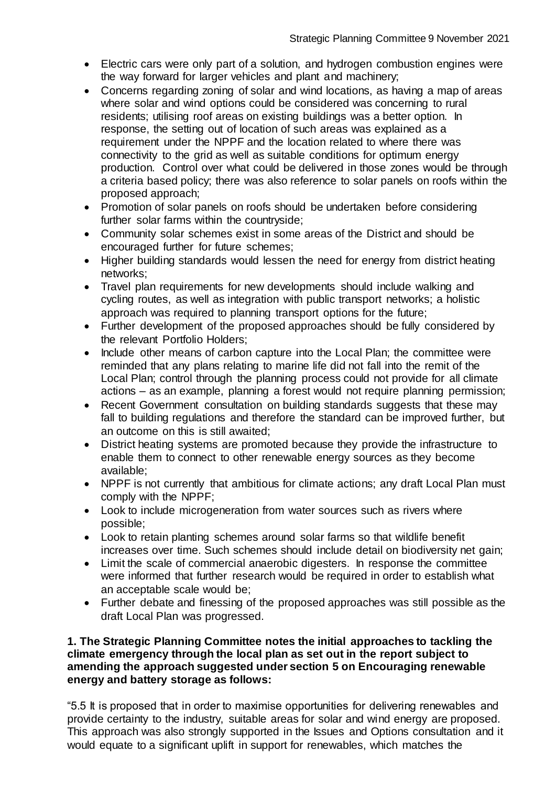- Electric cars were only part of a solution, and hydrogen combustion engines were the way forward for larger vehicles and plant and machinery;
- Concerns regarding zoning of solar and wind locations, as having a map of areas where solar and wind options could be considered was concerning to rural residents; utilising roof areas on existing buildings was a better option. In response, the setting out of location of such areas was explained as a requirement under the NPPF and the location related to where there was connectivity to the grid as well as suitable conditions for optimum energy production. Control over what could be delivered in those zones would be through a criteria based policy; there was also reference to solar panels on roofs within the proposed approach;
- Promotion of solar panels on roofs should be undertaken before considering further solar farms within the countryside;
- Community solar schemes exist in some areas of the District and should be encouraged further for future schemes;
- Higher building standards would lessen the need for energy from district heating networks;
- Travel plan requirements for new developments should include walking and cycling routes, as well as integration with public transport networks; a holistic approach was required to planning transport options for the future;
- Further development of the proposed approaches should be fully considered by the relevant Portfolio Holders;
- Include other means of carbon capture into the Local Plan; the committee were reminded that any plans relating to marine life did not fall into the remit of the Local Plan; control through the planning process could not provide for all climate actions – as an example, planning a forest would not require planning permission;
- Recent Government consultation on building standards suggests that these may fall to building regulations and therefore the standard can be improved further, but an outcome on this is still awaited;
- District heating systems are promoted because they provide the infrastructure to enable them to connect to other renewable energy sources as they become available;
- NPPF is not currently that ambitious for climate actions; any draft Local Plan must comply with the NPPF;
- Look to include microgeneration from water sources such as rivers where possible;
- Look to retain planting schemes around solar farms so that wildlife benefit increases over time. Such schemes should include detail on biodiversity net gain;
- Limit the scale of commercial anaerobic digesters. In response the committee were informed that further research would be required in order to establish what an acceptable scale would be;
- Further debate and finessing of the proposed approaches was still possible as the draft Local Plan was progressed.

#### **1. The Strategic Planning Committee notes the initial approaches to tackling the climate emergency through the local plan as set out in the report subject to amending the approach suggested under section 5 on Encouraging renewable energy and battery storage as follows:**

"5.5 It is proposed that in order to maximise opportunities for delivering renewables and provide certainty to the industry, suitable areas for solar and wind energy are proposed. This approach was also strongly supported in the Issues and Options consultation and it would equate to a significant uplift in support for renewables, which matches the